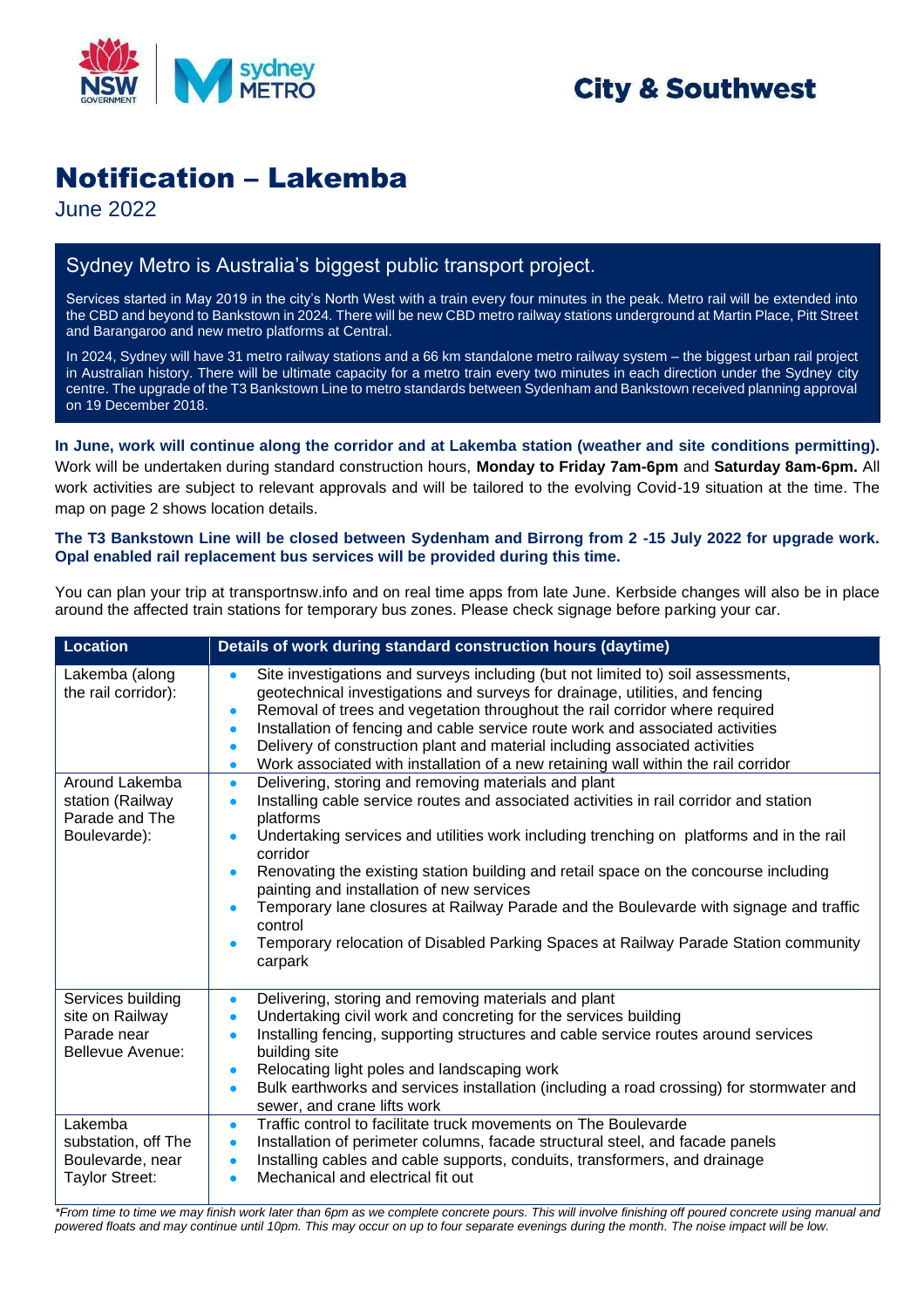

## **City & Southwest**

# Notification – Lakemba

June 2022

### Sydney Metro is Australia's biggest public transport project.

Services started in May 2019 in the city's North West with a train every four minutes in the peak. Metro rail will be extended into the CBD and beyond to Bankstown in 2024. There will be new CBD metro railway stations underground at Martin Place, Pitt Street and Barangaroo and new metro platforms at Central.

In 2024, Sydney will have 31 metro railway stations and a 66 km standalone metro railway system – the biggest urban rail project in Australian history. There will be ultimate capacity for a metro train every two minutes in each direction under the Sydney city centre. The upgrade of the T3 Bankstown Line to metro standards between Sydenham and Bankstown received planning approval on 19 December 2018.

**In June, work will continue along the corridor and at Lakemba station (weather and site conditions permitting).** Work will be undertaken during standard construction hours, **Monday to Friday 7am-6pm** and **Saturday 8am-6pm.** All work activities are subject to relevant approvals and will be tailored to the evolving Covid-19 situation at the time. The map on page 2 shows location details.

#### **The T3 Bankstown Line will be closed between Sydenham and Birrong from 2 -15 July 2022 for upgrade work. Opal enabled rail replacement bus services will be provided during this time.**

You can plan your trip at [transportnsw.info](https://transportnsw.info/) and on real time apps from late June. Kerbside changes will also be in place around the affected train stations for temporary bus zones. Please check signage before parking your car.

| <b>Location</b>                                                         | Details of work during standard construction hours (daytime)                                                                                                                                                                                                                                                                                                                                                                                                                                                                                                                                                                                          |
|-------------------------------------------------------------------------|-------------------------------------------------------------------------------------------------------------------------------------------------------------------------------------------------------------------------------------------------------------------------------------------------------------------------------------------------------------------------------------------------------------------------------------------------------------------------------------------------------------------------------------------------------------------------------------------------------------------------------------------------------|
| Lakemba (along<br>the rail corridor):                                   | Site investigations and surveys including (but not limited to) soil assessments,<br>$\bullet$<br>geotechnical investigations and surveys for drainage, utilities, and fencing<br>Removal of trees and vegetation throughout the rail corridor where required<br>$\bullet$<br>Installation of fencing and cable service route work and associated activities<br>$\bullet$<br>Delivery of construction plant and material including associated activities<br>$\bullet$<br>Work associated with installation of a new retaining wall within the rail corridor<br>$\bullet$                                                                               |
| Around Lakemba<br>station (Railway<br>Parade and The<br>Boulevarde):    | Delivering, storing and removing materials and plant<br>$\bullet$<br>Installing cable service routes and associated activities in rail corridor and station<br>$\bullet$<br>platforms<br>Undertaking services and utilities work including trenching on platforms and in the rail<br>corridor<br>Renovating the existing station building and retail space on the concourse including<br>painting and installation of new services<br>Temporary lane closures at Railway Parade and the Boulevarde with signage and traffic<br>$\bullet$<br>control<br>Temporary relocation of Disabled Parking Spaces at Railway Parade Station community<br>carpark |
| Services building<br>site on Railway<br>Parade near<br>Bellevue Avenue: | Delivering, storing and removing materials and plant<br>$\bullet$<br>Undertaking civil work and concreting for the services building<br>$\bullet$<br>Installing fencing, supporting structures and cable service routes around services<br>$\bullet$<br>building site<br>Relocating light poles and landscaping work<br>$\bullet$<br>Bulk earthworks and services installation (including a road crossing) for stormwater and<br>$\bullet$<br>sewer, and crane lifts work                                                                                                                                                                             |
| Lakemba<br>substation, off The<br>Boulevarde, near<br>Taylor Street:    | Traffic control to facilitate truck movements on The Boulevarde<br>$\bullet$<br>Installation of perimeter columns, facade structural steel, and facade panels<br>$\bullet$<br>Installing cables and cable supports, conduits, transformers, and drainage<br>$\bullet$<br>Mechanical and electrical fit out<br>$\bullet$                                                                                                                                                                                                                                                                                                                               |

*\*From time to time we may finish work later than 6pm as we complete concrete pours. This will involve finishing off poured concrete using manual and powered floats and may continue until 10pm. This may occur on up to four separate evenings during the month. The noise impact will be low.*